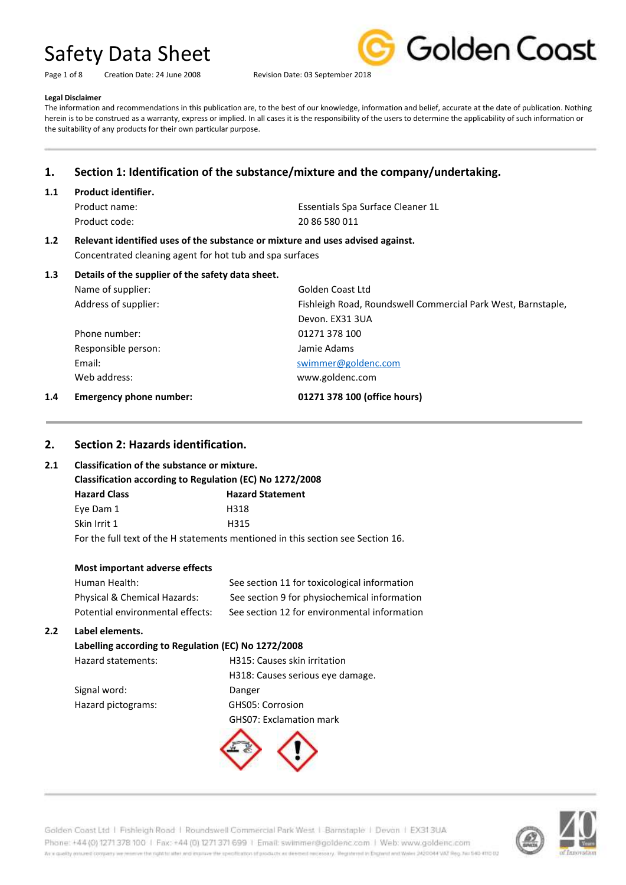Page 1 of 8 Creation Date: 24 June 2008 Revision Date: 03 September 2018



#### **Legal Disclaimer**

The information and recommendations in this publication are, to the best of our knowledge, information and belief, accurate at the date of publication. Nothing herein is to be construed as a warranty, express or implied. In all cases it is the responsibility of the users to determine the applicability of such information or the suitability of any products for their own particular purpose.

### **1. Section 1: Identification of the substance/mixture and the company/undertaking.**

#### **1.1 Product identifier.**

Product code: 20 86 580 011

Product name: Essentials Spa Surface Cleaner 1L

#### **1.2 Relevant identified uses of the substance or mixture and uses advised against.** Concentrated cleaning agent for hot tub and spa surfaces

#### **1.3 Details of the supplier of the safety data sheet.**

| 1.4 | <b>Emergency phone number:</b> | 01271 378 100 (office hours)                                 |
|-----|--------------------------------|--------------------------------------------------------------|
|     | Web address:                   | www.goldenc.com                                              |
|     | Email:                         | swimmer@goldenc.com                                          |
|     | Responsible person:            | Jamie Adams                                                  |
|     | Phone number:                  | 01271 378 100                                                |
|     |                                | Devon. EX31 3UA                                              |
|     | Address of supplier:           | Fishleigh Road, Roundswell Commercial Park West, Barnstaple, |
|     | Name of supplier:              | Golden Coast Ltd                                             |
|     |                                |                                                              |

#### **2. Section 2: Hazards identification.**

#### **2.1 Classification of the substance or mixture.**

| Classification according to Regulation (EC) No 1272/2008 |                         |
|----------------------------------------------------------|-------------------------|
| <b>Hazard Class</b>                                      | <b>Hazard Statement</b> |
| Eye Dam 1                                                | H318                    |
| Skin Irrit 1                                             | H315                    |

For the full text of the H statements mentioned in this section see Section 16.

#### **Most important adverse effects**

| Human Health:                    | See section 11 for toxicological information |
|----------------------------------|----------------------------------------------|
| Physical & Chemical Hazards:     | See section 9 for physiochemical information |
| Potential environmental effects: | See section 12 for environmental information |

#### **2.2 Label elements.**

#### **Labelling according to Regulation (EC) No 1272/2008**

| Hazard statements: | H315: Causes skin irritation     |  |
|--------------------|----------------------------------|--|
|                    | H318: Causes serious eye damage. |  |
| Signal word:       | Danger                           |  |
| Hazard pictograms: | GHS05: Corrosion                 |  |
|                    | <b>GHSO7: Exclamation mark</b>   |  |



Golden Coast Ltd | Fishleigh Road | Roundswell Commercial Park West | Barnstaple | Devon | EX313UA Phone: +44 (0) 1271 378 100 | Fax: +44 (0) 1271 371 699 | Email: swimmer@goldenc.com | Web: www.goldenc.com As a quality annumel company we renewe the right to aller wid improve the specification of products as deemed recessory. Registered in England and Wales 2420044 VAT Reg. No 540-410 02

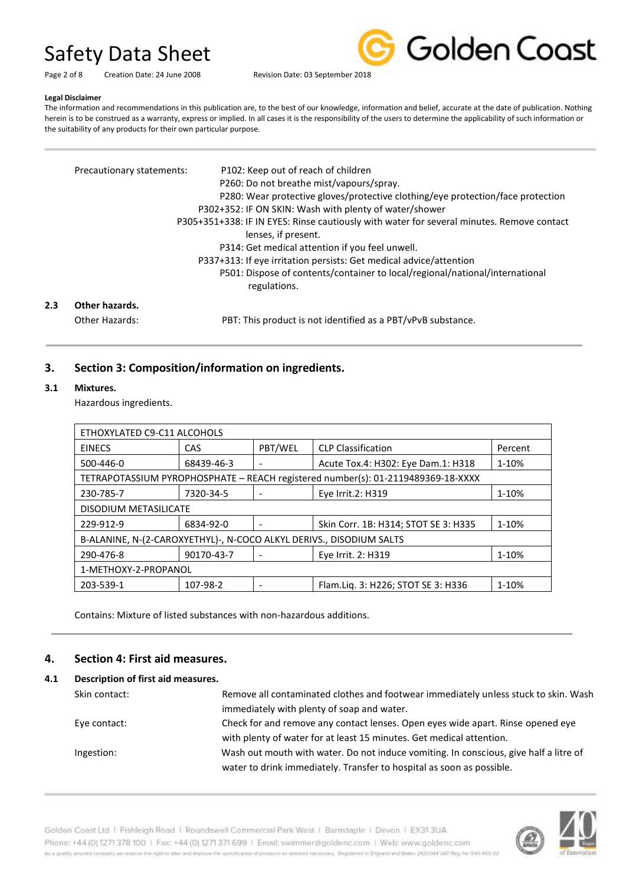Golden Coast

Page 2 of 8 Creation Date: 24 June 2008 Revision Date: 03 September 2018

#### **Legal Disclaimer**

The information and recommendations in this publication are, to the best of our knowledge, information and belief, accurate at the date of publication. Nothing herein is to be construed as a warranty, express or implied. In all cases it is the responsibility of the users to determine the applicability of such information or the suitability of any products for their own particular purpose.

|     | Precautionary statements: | P102: Keep out of reach of children                                                       |
|-----|---------------------------|-------------------------------------------------------------------------------------------|
|     |                           | P260: Do not breathe mist/vapours/spray.                                                  |
|     |                           | P280: Wear protective gloves/protective clothing/eye protection/face protection           |
|     |                           | P302+352: IF ON SKIN: Wash with plenty of water/shower                                    |
|     |                           | P305+351+338: IF IN EYES: Rinse cautiously with water for several minutes. Remove contact |
|     |                           | lenses, if present.                                                                       |
|     |                           | P314: Get medical attention if you feel unwell.                                           |
|     |                           | P337+313: If eye irritation persists: Get medical advice/attention                        |
|     |                           | P501: Dispose of contents/container to local/regional/national/international              |
|     |                           | regulations.                                                                              |
| 2.3 | Other hazards.            |                                                                                           |

Other Hazards: PBT: This product is not identified as a PBT/vPvB substance.

### **3. Section 3: Composition/information on ingredients.**

#### **3.1 Mixtures.**

Hazardous ingredients.

| ETHOXYLATED C9-C11 ALCOHOLS                                                      |            |         |                                      |         |
|----------------------------------------------------------------------------------|------------|---------|--------------------------------------|---------|
| <b>EINECS</b>                                                                    | CAS        | PBT/WEL | <b>CLP Classification</b>            | Percent |
| 500-446-0                                                                        | 68439-46-3 |         | Acute Tox.4: H302: Eye Dam.1: H318   | 1-10%   |
| TETRAPOTASSIUM PYROPHOSPHATE - REACH registered number(s): 01-2119489369-18-XXXX |            |         |                                      |         |
| 230-785-7                                                                        | 7320-34-5  |         | Eye Irrit.2: H319                    | 1-10%   |
| <b>DISODIUM METASILICATE</b>                                                     |            |         |                                      |         |
| 229-912-9                                                                        | 6834-92-0  |         | Skin Corr. 1B: H314; STOT SE 3: H335 | 1-10%   |
| B-ALANINE, N-(2-CAROXYETHYL)-, N-COCO ALKYL DERIVS., DISODIUM SALTS              |            |         |                                      |         |
| 290-476-8                                                                        | 90170-43-7 |         | Eye Irrit. 2: H319                   | 1-10%   |
| 1-METHOXY-2-PROPANOL                                                             |            |         |                                      |         |
| 203-539-1                                                                        | 107-98-2   |         | Flam.Liq. 3: H226; STOT SE 3: H336   | 1-10%   |

Contains: Mixture of listed substances with non-hazardous additions.

#### **4. Section 4: First aid measures.**

#### **4.1 Description of first aid measures.**

| Skin contact: | Remove all contaminated clothes and footwear immediately unless stuck to skin. Wash   |
|---------------|---------------------------------------------------------------------------------------|
|               | immediately with plenty of soap and water.                                            |
| Eye contact:  | Check for and remove any contact lenses. Open eyes wide apart. Rinse opened eye       |
|               | with plenty of water for at least 15 minutes. Get medical attention.                  |
| Ingestion:    | Wash out mouth with water. Do not induce vomiting. In conscious, give half a litre of |
|               | water to drink immediately. Transfer to hospital as soon as possible.                 |



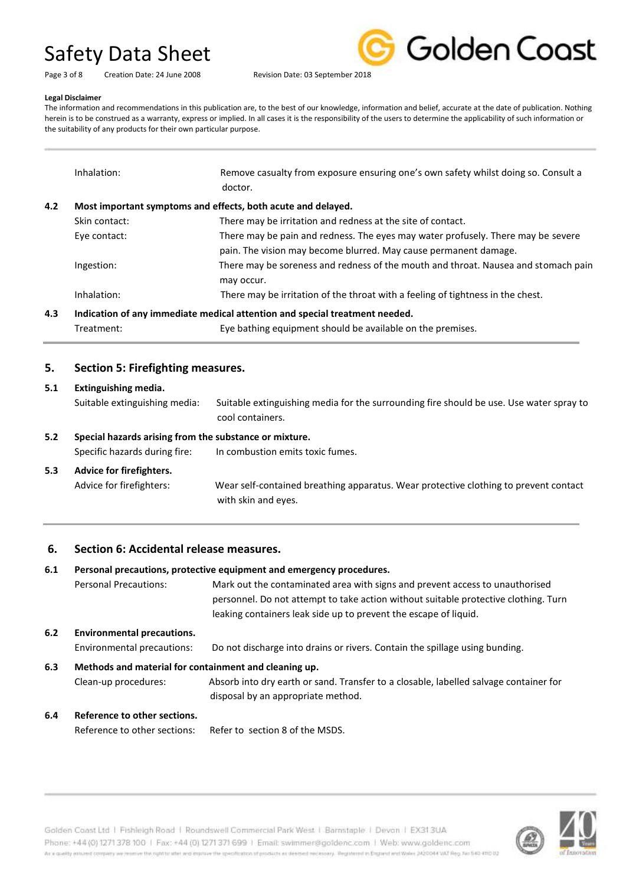| Creation Date: 24 June 2<br>Page 3 of 8 |
|-----------------------------------------|
|-----------------------------------------|



#### **Legal Disclaimer**

The information and recommendations in this publication are, to the best of our knowledge, information and belief, accurate at the date of publication. Nothing herein is to be construed as a warranty, express or implied. In all cases it is the responsibility of the users to determine the applicability of such information or the suitability of any products for their own particular purpose.

|     | Inhalation:                                                                 | Remove casualty from exposure ensuring one's own safety whilst doing so. Consult a<br>doctor. |  |
|-----|-----------------------------------------------------------------------------|-----------------------------------------------------------------------------------------------|--|
| 4.2 | Most important symptoms and effects, both acute and delayed.                |                                                                                               |  |
|     | Skin contact:                                                               | There may be irritation and redness at the site of contact.                                   |  |
|     | Eye contact:                                                                | There may be pain and redness. The eyes may water profusely. There may be severe              |  |
|     |                                                                             | pain. The vision may become blurred. May cause permanent damage.                              |  |
|     | Ingestion:                                                                  | There may be soreness and redness of the mouth and throat. Nausea and stomach pain            |  |
|     |                                                                             | may occur.                                                                                    |  |
|     | Inhalation:                                                                 | There may be irritation of the throat with a feeling of tightness in the chest.               |  |
| 4.3 | Indication of any immediate medical attention and special treatment needed. |                                                                                               |  |
|     | Treatment:                                                                  | Eye bathing equipment should be available on the premises.                                    |  |

#### **5. Section 5: Firefighting measures.**

### **5.1 Extinguishing media.**

Suitable extinguishing media: Suitable extinguishing media for the surrounding fire should be use. Use water spray to cool containers.

**5.2 Special hazards arising from the substance or mixture.** Specific hazards during fire: In combustion emits toxic fumes.

# **5.3 Advice for firefighters.**

Advice for firefighters: Wear self-contained breathing apparatus. Wear protective clothing to prevent contact with skin and eyes.

### **6. Section 6: Accidental release measures.**

#### **6.1 Personal precautions, protective equipment and emergency procedures.**

Personal Precautions: Mark out the contaminated area with signs and prevent access to unauthorised personnel. Do not attempt to take action without suitable protective clothing. Turn leaking containers leak side up to prevent the escape of liquid.

# **6.2 Environmental precautions.**

Environmental precautions: Do not discharge into drains or rivers. Contain the spillage using bunding.

#### **6.3 Methods and material for containment and cleaning up.**

Clean-up procedures: Absorb into dry earth or sand. Transfer to a closable, labelled salvage container for disposal by an appropriate method.

#### **6.4 Reference to other sections.**

Reference to other sections: Refer to section 8 of the MSDS.

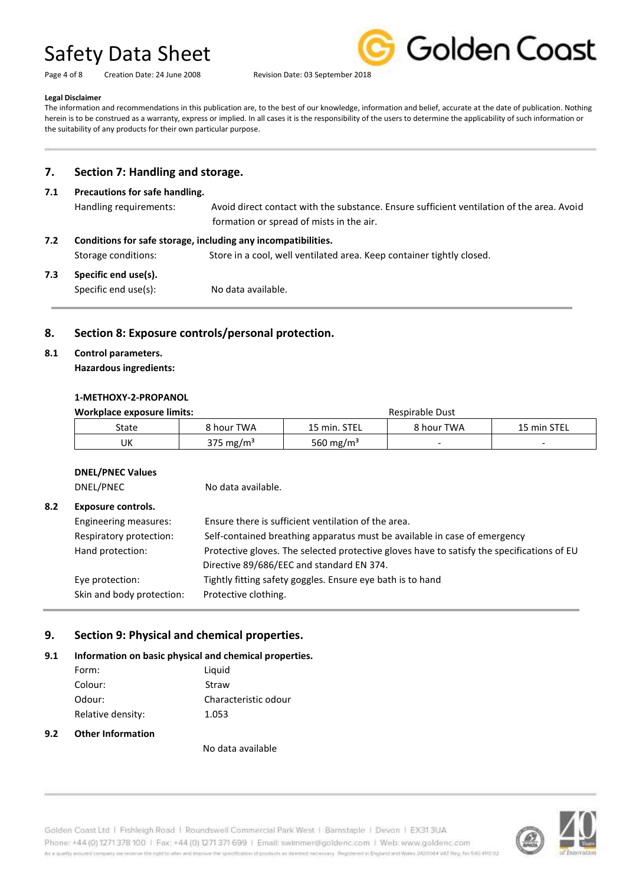Page 4 of 8 Creation Date: 24 June 2008 Revision Date: 03 September 2018



#### **Legal Disclaimer**

The information and recommendations in this publication are, to the best of our knowledge, information and belief, accurate at the date of publication. Nothing herein is to be construed as a warranty, express or implied. In all cases it is the responsibility of the users to determine the applicability of such information or the suitability of any products for their own particular purpose.

### **7. Section 7: Handling and storage.**

#### **7.1 Precautions for safe handling.**

Handling requirements: Avoid direct contact with the substance. Ensure sufficient ventilation of the area. Avoid formation or spread of mists in the air.

**7.2 Conditions for safe storage, including any incompatibilities.** Storage conditions: Store in a cool, well ventilated area. Keep container tightly closed. **7.3 Specific end use(s).** Specific end use(s): No data available.

### **8. Section 8: Exposure controls/personal protection.**

# **8.1 Control parameters.**

**Hazardous ingredients:**

#### **1-METHOXY-2-PROPANOL**

#### **Workplace exposure limits:** Respirable Dust

| workplace exposure illilits. |                       | <b>INCONTIGNIC DUSL</b> |            |             |  |
|------------------------------|-----------------------|-------------------------|------------|-------------|--|
| State                        | 8 hour TWA            | 15 min. STEL            | 8 hour TWA | 15 min STEL |  |
| UK                           | 375 mg/m <sup>3</sup> | 560 mg/m <sup>3</sup>   |            |             |  |

### **DNEL/PNEC Values**

DNEL/PNEC No data available.

#### **8.2 Exposure controls.**

| EXPOSULE COLLIUS.         |                                                                                            |
|---------------------------|--------------------------------------------------------------------------------------------|
| Engineering measures:     | Ensure there is sufficient ventilation of the area.                                        |
| Respiratory protection:   | Self-contained breathing apparatus must be available in case of emergency                  |
| Hand protection:          | Protective gloves. The selected protective gloves have to satisfy the specifications of EU |
|                           | Directive 89/686/EEC and standard EN 374.                                                  |
| Eye protection:           | Tightly fitting safety goggles. Ensure eye bath is to hand                                 |
| Skin and body protection: | Protective clothing.                                                                       |
|                           |                                                                                            |

# **9. Section 9: Physical and chemical properties.**

#### **9.1 Information on basic physical and chemical properties.**

| Form:             | Liguid               |
|-------------------|----------------------|
| Colour:           | Straw                |
| Odour:            | Characteristic odour |
| Relative density: | 1.053                |
|                   |                      |

#### **9.2 Other Information**

No data available

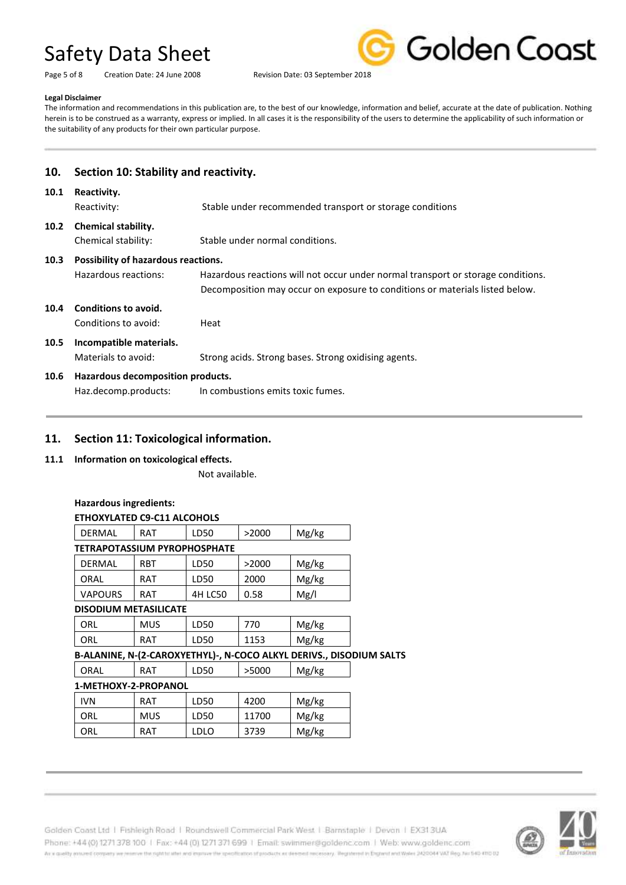Page 5 of 8 Creation Date: 24 June 2008 Revision Date: 03 September 2018



#### **Legal Disclaimer**

The information and recommendations in this publication are, to the best of our knowledge, information and belief, accurate at the date of publication. Nothing herein is to be construed as a warranty, express or implied. In all cases it is the responsibility of the users to determine the applicability of such information or the suitability of any products for their own particular purpose.

| 10.               | Section 10: Stability and reactivity.                       |                                                                                                                                                                  |  |  |
|-------------------|-------------------------------------------------------------|------------------------------------------------------------------------------------------------------------------------------------------------------------------|--|--|
| 10.1              | Reactivity.<br>Reactivity:                                  | Stable under recommended transport or storage conditions                                                                                                         |  |  |
| 10.2 <sub>1</sub> | <b>Chemical stability.</b><br>Chemical stability:           | Stable under normal conditions.                                                                                                                                  |  |  |
| 10.3              | Possibility of hazardous reactions.<br>Hazardous reactions: | Hazardous reactions will not occur under normal transport or storage conditions.<br>Decomposition may occur on exposure to conditions or materials listed below. |  |  |
| 10.4              | Conditions to avoid.<br>Conditions to avoid:                | Heat                                                                                                                                                             |  |  |
| 10.5              | Incompatible materials.<br>Materials to avoid:              | Strong acids. Strong bases. Strong oxidising agents.                                                                                                             |  |  |
| 10.6              | Hazardous decomposition products.<br>Haz.decomp.products:   | In combustions emits toxic fumes.                                                                                                                                |  |  |

### **11. Section 11: Toxicological information.**

#### **11.1 Information on toxicological effects.**

Not available.

| Hazardous ingredients:                                              |            |                |       |       |  |  |  |  |
|---------------------------------------------------------------------|------------|----------------|-------|-------|--|--|--|--|
| ETHOXYLATED C9-C11 ALCOHOLS                                         |            |                |       |       |  |  |  |  |
| DERMAL                                                              | RAT        | LD50           | >2000 | Mg/kg |  |  |  |  |
| <b>TETRAPOTASSIUM PYROPHOSPHATE</b>                                 |            |                |       |       |  |  |  |  |
| <b>DERMAL</b>                                                       | <b>RBT</b> | LD50           | >2000 | Mg/kg |  |  |  |  |
| ORAL                                                                | RAT        | LD50           | 2000  | Mg/kg |  |  |  |  |
| <b>VAPOURS</b>                                                      | <b>RAT</b> | <b>4H LC50</b> | 0.58  | Mg/l  |  |  |  |  |
| <b>DISODIUM METASILICATE</b>                                        |            |                |       |       |  |  |  |  |
| ORL                                                                 | <b>MUS</b> | LD50           | 770   | Mg/kg |  |  |  |  |
| ORL                                                                 | RAT        | LD50           | 1153  | Mg/kg |  |  |  |  |
| B-ALANINE, N-(2-CAROXYETHYL)-, N-COCO ALKYL DERIVS., DISODIUM SALTS |            |                |       |       |  |  |  |  |
| ORAL                                                                | <b>RAT</b> | LD50           | >5000 | Mg/kg |  |  |  |  |
| 1-METHOXY-2-PROPANOL                                                |            |                |       |       |  |  |  |  |
| <b>IVN</b>                                                          | <b>RAT</b> | LD50           | 4200  | Mg/kg |  |  |  |  |
| ORL                                                                 | <b>MUS</b> | LD50           | 11700 | Mg/kg |  |  |  |  |
| ORL                                                                 | <b>RAT</b> | LDLO           | 3739  | Mg/kg |  |  |  |  |

Golden Coast Ltd | Fishleigh Road | Roundswell Commercial Park West | Barnstaple | Devon | EX313UA Phone: +44 (0) 1271 378 100 | Fax: +44 (0) 1271 371 699 | Email: swimmer@goldenc.com | Web: www.goldenc.com As a quality ensured company we reserve the right to after and enprice the specification of products as deepent recessary. Registered in England and Wales (AQDO44 VAT Reg. Just 540-410 D2

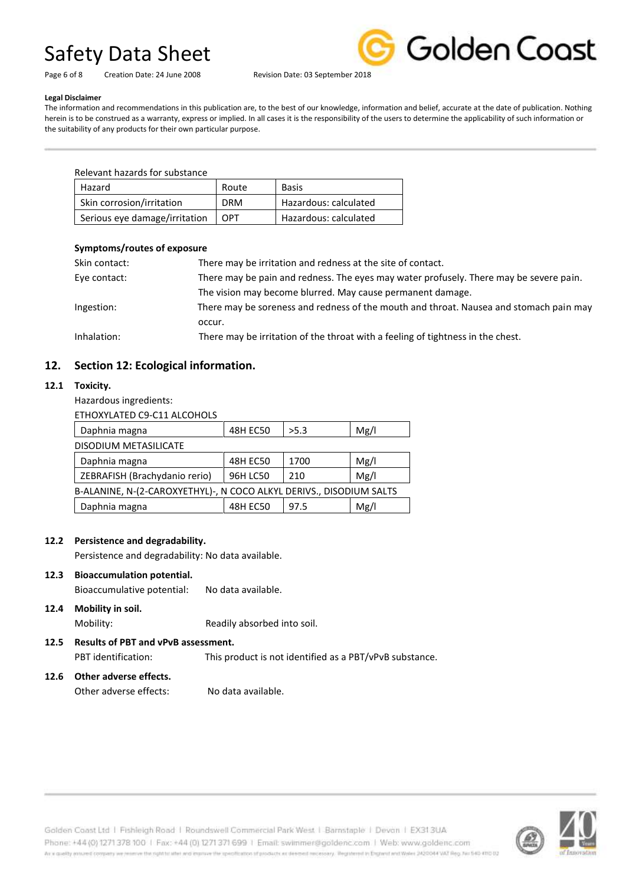

Page 6 of 8 Creation Date: 24 June 2008 Revision Date: 03 September 2018

#### **Legal Disclaimer**

The information and recommendations in this publication are, to the best of our knowledge, information and belief, accurate at the date of publication. Nothing herein is to be construed as a warranty, express or implied. In all cases it is the responsibility of the users to determine the applicability of such information or the suitability of any products for their own particular purpose.

| Relevant hazards for substance |            |                       |  |  |  |
|--------------------------------|------------|-----------------------|--|--|--|
| Hazard                         | Route      | Basis                 |  |  |  |
| Skin corrosion/irritation      | <b>DRM</b> | Hazardous: calculated |  |  |  |
| Serious eye damage/irritation  | OPT        | Hazardous: calculated |  |  |  |

#### **Symptoms/routes of exposure**

| Skin contact: | There may be irritation and redness at the site of contact.                            |
|---------------|----------------------------------------------------------------------------------------|
| Eye contact:  | There may be pain and redness. The eyes may water profusely. There may be severe pain. |
|               | The vision may become blurred. May cause permanent damage.                             |
| Ingestion:    | There may be soreness and redness of the mouth and throat. Nausea and stomach pain may |
|               | occur.                                                                                 |
| Inhalation:   | There may be irritation of the throat with a feeling of tightness in the chest.        |

# **12. Section 12: Ecological information.**

#### **12.1 Toxicity.**

Hazardous ingredients:

ETHOXYLATED C9-C11 ALCOHOLS

| Daphnia magna                                                       | <b>48H EC50</b> | >5.3 | Mg/l |  |  |  |
|---------------------------------------------------------------------|-----------------|------|------|--|--|--|
| <b>DISODIUM METASILICATE</b>                                        |                 |      |      |  |  |  |
| Daphnia magna                                                       | <b>48H EC50</b> | 1700 | Mg/l |  |  |  |
| ZEBRAFISH (Brachydanio rerio)                                       | 96H LC50        | 210  | Mg/l |  |  |  |
| B-ALANINE, N-(2-CAROXYETHYL)-, N COCO ALKYL DERIVS., DISODIUM SALTS |                 |      |      |  |  |  |
| Daphnia magna                                                       | <b>48H EC50</b> | 97.5 | Mg/l |  |  |  |
|                                                                     |                 |      |      |  |  |  |

#### **12.2 Persistence and degradability.**

Persistence and degradability: No data available.

#### **12.3 Bioaccumulation potential.**

Bioaccumulative potential: No data available.

**12.4 Mobility in soil.**

Mobility: Readily absorbed into soil.

**12.5 Results of PBT and vPvB assessment.** PBT identification: This product is not identified as a PBT/vPvB substance.

#### **12.6 Other adverse effects.**

Other adverse effects: No data available.

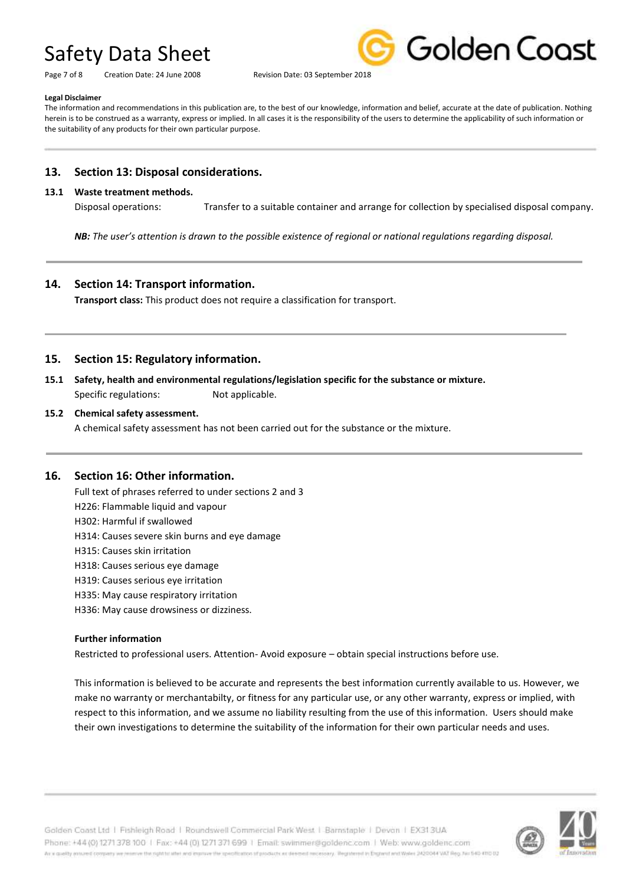Page 7 of 8 Creation Date: 24 June 2008 Revision Date: 03 September 2018



#### **Legal Disclaimer**

The information and recommendations in this publication are, to the best of our knowledge, information and belief, accurate at the date of publication. Nothing herein is to be construed as a warranty, express or implied. In all cases it is the responsibility of the users to determine the applicability of such information or the suitability of any products for their own particular purpose.

### **13. Section 13: Disposal considerations.**

#### **13.1 Waste treatment methods.**

Disposal operations: Transfer to a suitable container and arrange for collection by specialised disposal company.

*NB: The user's attention is drawn to the possible existence of regional or national regulations regarding disposal.* 

#### **14. Section 14: Transport information.**

**Transport class:** This product does not require a classification for transport.

#### **15. Section 15: Regulatory information.**

**15.1 Safety, health and environmental regulations/legislation specific for the substance or mixture.** Specific regulations: Not applicable.

#### **15.2 Chemical safety assessment.**

A chemical safety assessment has not been carried out for the substance or the mixture.

#### **16. Section 16: Other information.**

Full text of phrases referred to under sections 2 and 3 H226: Flammable liquid and vapour H302: Harmful if swallowed H314: Causes severe skin burns and eye damage H315: Causes skin irritation H318: Causes serious eye damage H319: Causes serious eye irritation

H335: May cause respiratory irritation

H336: May cause drowsiness or dizziness.

#### **Further information**

Restricted to professional users. Attention- Avoid exposure – obtain special instructions before use.

This information is believed to be accurate and represents the best information currently available to us. However, we make no warranty or merchantabilty, or fitness for any particular use, or any other warranty, express or implied, with respect to this information, and we assume no liability resulting from the use of this information. Users should make their own investigations to determine the suitability of the information for their own particular needs and uses.